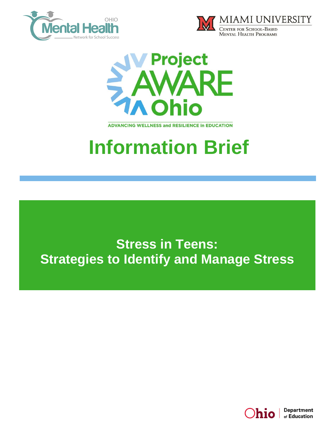





**ADVANCING WELLNESS and RESILIENCE In EDUCATION** 

# **Information Brief**

**Stress in Teens: Strategies to Identify and Manage Stress**

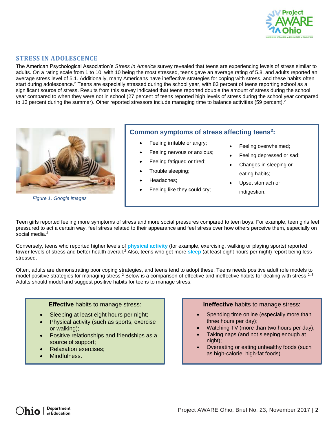

#### **STRESS IN ADOLESCENCE**

The American Psychological Association's *Stress in America* survey revealed that teens are experiencing levels of stress similar to adults. On a rating scale from 1 to 10, with 10 being the most stressed, teens gave an average rating of 5.8, and adults reported an average stress level of 5.1. Additionally, many Americans have ineffective strategies for coping with stress, and these habits often start during adolescence.<sup>2</sup> Teens are especially stressed during the school year, with 83 percent of teens reporting school as a significant source of stress. Results from this survey indicated that teens reported double the amount of stress during the school year compared to when they were not in school (27 percent of teens reported high levels of stress during the school year compared to 13 percent during the summer). Other reported stressors include managing time to balance activities (59 percent).<sup>2</sup>



*Figure 1. Google images*

## **Common symptoms of stress affecting teens<sup>2</sup> :**

- Feeling irritable or angry;
- Feeling nervous or anxious;
- Feeling fatigued or tired;
- Trouble sleeping;
- Headaches;
- Feeling like they could cry;
- Feeling overwhelmed;
- Feeling depressed or sad;
- Changes in sleeping or eating habits;
- Upset stomach or indigestion.

Teen girls reported feeling more symptoms of stress and more social pressures compared to teen boys. For example, teen girls feel pressured to act a certain way, feel stress related to their appearance and feel stress over how others perceive them, especially on social media.<sup>2</sup>

Conversely, teens who reported higher levels of **physical activity** (for example, exercising, walking or playing sports) reported **lower** levels of stress and better health overall.<sup>2</sup> Also, teens who get more **sleep** (at least eight hours per night) report being less stressed.

Often, adults are demonstrating poor coping strategies, and teens tend to adopt these. Teens needs positive adult role models to model positive strategies for managing stress.<sup>2</sup> Below is a comparison of effective and ineffective habits for dealing with stress.<sup>2, 5</sup> Adults should model and suggest positive habits for teens to manage stress.



- Sleeping at least eight hours per night;
- Physical activity (such as sports, exercise or walking);
- Positive relationships and friendships as a source of support;
- Relaxation exercises;
- Mindfulness.

#### **Ineffective** habits to manage stress:

- Spending time online (especially more than three hours per day);
- Watching TV (more than two hours per day);
- Taking naps (and not sleeping enough at night);
- Overeating or eating unhealthy foods (such as high-calorie, high-fat foods).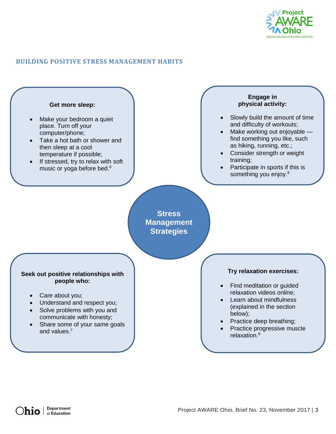

## **BUILDING POSITIVE STRESS MANAGEMENT HABITS**

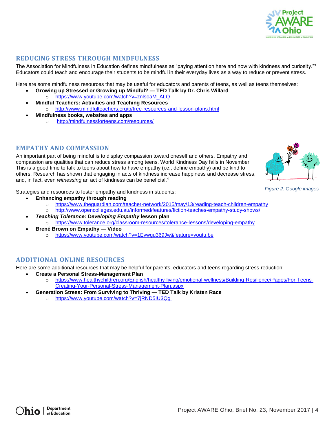

## **REDUCING STRESS THROUGH MINDFULNESS**

The Association for Mindfulness in Education defines mindfulness as "paying attention here and now with kindness and curiosity."<sup>3</sup> Educators could teach and encourage their students to be mindful in their everyday lives as a way to reduce or prevent stress.

Here are some mindfulness resources that may be useful for educators and parents of teens, as well as teens themselves:

- **Growing up Stressed or Growing up Mindful? — TED Talk by Dr. Chris Willard**
- o [https://www.youtube.com/watch?v=znlsoaM\\_ALQ](https://www.youtube.com/watch?v=znlsoaM_ALQ) **Mindful Teachers: Activities and Teaching Resources**
- o <http://www.mindfulteachers.org/p/free-resources-and-lesson-plans.html>
- **Mindfulness books, websites and apps**
	- o <http://mindfulnessforteens.com/resources/>

## **EMPATHY AND COMPASSION**

An important part of being mindful is to display compassion toward oneself and others. Empathy and compassion are qualities that can reduce stress among teens. World Kindness Day falls in November! This is a good time to talk to teens about how to have empathy (i.e., define empathy) and be kind to others. Research has shown that engaging in acts of kindness increase happiness and decrease stress, and, in fact, even *witnessing* an act of kindness can be beneficial.<sup>4</sup>

Strategies and resources to foster empathy and kindness in students:

- **Enhancing empathy through reading**
	- o <https://www.theguardian.com/teacher-network/2015/may/13/reading-teach-children-empathy>
	- o <http://www.opencolleges.edu.au/informed/features/fiction-teaches-empathy-study-shows/>
- *Teaching Tolerance: Developing Empathy* **lesson plan** o <https://www.tolerance.org/classroom-resources/tolerance-lessons/developing-empathy>
- **Brené Brown on Empathy — Video**  o <https://www.youtube.com/watch?v=1Evwgu369Jw&feature=youtu.be>

### **ADDITIONAL ONLINE RESOURCES**

Here are some additional resources that may be helpful for parents, educators and teens regarding stress reduction:

- **Create a Personal Stress-Management Plan**
	- o [https://www.healthychildren.org/English/healthy-living/emotional-wellness/Building-Resilience/Pages/For-Teens-](https://www.healthychildren.org/English/healthy-living/emotional-wellness/Building-Resilience/Pages/For-Teens-Creating-Your-Personal-Stress-Management-Plan.aspx)[Creating-Your-Personal-Stress-Management-Plan.aspx](https://www.healthychildren.org/English/healthy-living/emotional-wellness/Building-Resilience/Pages/For-Teens-Creating-Your-Personal-Stress-Management-Plan.aspx)
- **Generation Stress: From Surviving to Thriving — TED Talk by Kristen Race**
	- o <https://www.youtube.com/watch?v=7jRND5IU3Qg>



*Figure 2. Google images*